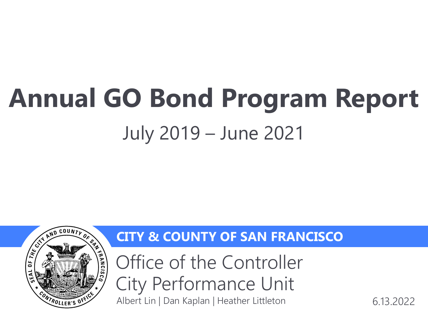# **Annual GO Bond Program Report**  July 2019 – June 2021



### **CITY & COUNTY OF SAN FRANCISCO**

Office of the Controller City Performance Unit Albert Lin | Dan Kaplan | Heather Littleton 6.13.2022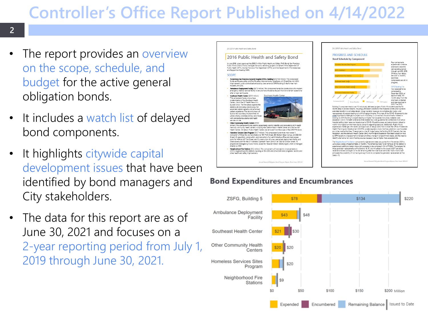## **Controller's Office Report Published on 4/14/2022**

#### **2**

- The report provides an overview on the scope, schedule, and budget for the active general obligation bonds.
- It includes a watch list of delayed bond components.
- It highlights citywide capital development issues that have been identified by bond managers and City stakeholders.
- The data for this report are as of June 30, 2021 and focuses on a 2-year reporting period from July 1, 2019 through June 30, 2021.



#### **Bond Expenditures and Encumbrances**

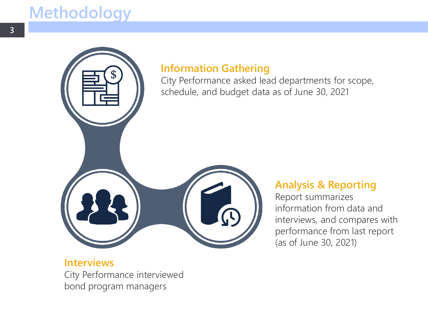### **Methodology**



### **Information Gathering**

City Performance asked lead departments for scope, schedule, and budget data as of June 30, 2021

### **Analysis & Reporting**

Report summarizes information from data and interviews, and compares with performance from last report (as of June 30, 2021)

**Interviews** City Performance interviewed bond program managers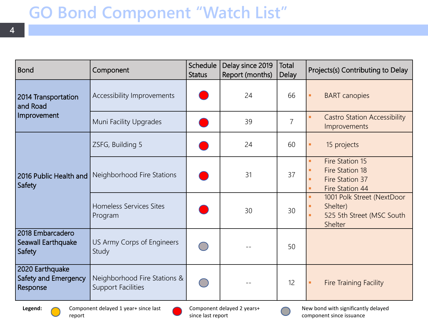### **GO Bond Component "Watch List"**

| <b>Bond</b>                                         | Component                                                 | Schedule<br><b>Status</b> | Delay since 2019<br>Report (months) | Total<br><b>Delay</b> | Projects(s) Contributing to Delay                                                             |
|-----------------------------------------------------|-----------------------------------------------------------|---------------------------|-------------------------------------|-----------------------|-----------------------------------------------------------------------------------------------|
| 2014 Transportation<br>and Road<br>Improvement      | Accessibility Improvements                                |                           | 24                                  | 66                    | <b>BART</b> canopies<br>٠                                                                     |
|                                                     | Muni Facility Upgrades                                    |                           | 39                                  | $\overline{7}$        | <b>Castro Station Accessibility</b><br>u,<br>Improvements                                     |
| 2016 Public Health and<br>Safety                    | ZSFG, Building 5                                          |                           | 24                                  | 60                    | 15 projects<br>٠                                                                              |
|                                                     | Neighborhood Fire Stations                                |                           | 31                                  | 37                    | Fire Station 15<br>٠<br>Fire Station 18<br>٠<br>Fire Station 37<br>٠<br>Fire Station 44<br>٠  |
|                                                     | Homeless Services Sites<br>Program                        |                           | 30                                  | 30                    | 1001 Polk Street (NextDoor<br>٠<br>Shelter)<br>٠<br>525 5th Street (MSC South<br>٠<br>Shelter |
| 2018 Embarcadero<br>Seawall Earthquake<br>Safety    | US Army Corps of Engineers<br>Study                       |                           |                                     | 50                    |                                                                                               |
| 2020 Earthquake<br>Safety and Emergency<br>Response | Neighborhood Fire Stations &<br><b>Support Facilities</b> |                           |                                     | 12                    | <b>Fire Training Facility</b><br>٠                                                            |

**4**



Component delayed 2 years+ since last report



New bond with significantly delayed component since issuance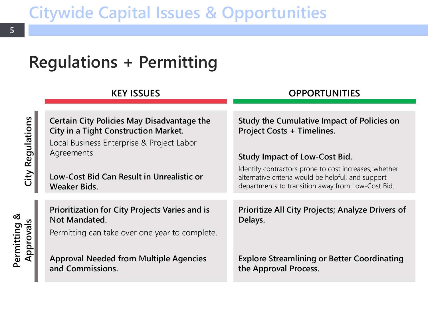### **Citywide Capital Issues & Opportunities**

## **Regulations + Permitting**

#### **KEY ISSUES OPPORTUNITIES**

| <b>Certain City Policies May Disadvantage the</b><br><b>City in a Tight Construction Market.</b><br>Local Business Enterprise & Project Labor<br>Agreements | <b>Study the Cumulative Impact of Policies on</b><br><b>Project Costs + Timelines.</b>                                                                           |
|-------------------------------------------------------------------------------------------------------------------------------------------------------------|------------------------------------------------------------------------------------------------------------------------------------------------------------------|
|                                                                                                                                                             | <b>Study Impact of Low-Cost Bid.</b>                                                                                                                             |
| Low-Cost Bid Can Result in Unrealistic or<br>Weaker Bids.                                                                                                   | Identify contractors prone to cost increases, whether<br>alternative criteria would be helpful, and support<br>departments to transition away from Low-Cost Bid. |
|                                                                                                                                                             |                                                                                                                                                                  |
| Prioritization for City Projects Varies and is<br>Not Mandated.                                                                                             | Prioritize All City Projects; Analyze Drivers of<br>Delays.                                                                                                      |
| Permitting can take over one year to complete.                                                                                                              |                                                                                                                                                                  |
| <b>Approval Needed from Multiple Agencies</b><br>and Commissions.                                                                                           | <b>Explore Streamlining or Better Coordinating</b><br>the Approval Process.                                                                                      |

**Permitting &** 

Permitting & Approvals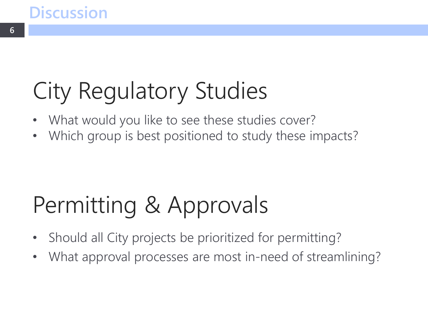### **Discussion**

## City Regulatory Studies

- What would you like to see these studies cover?
- Which group is best positioned to study these impacts?

## Permitting & Approvals

- Should all City projects be prioritized for permitting?
- What approval processes are most in-need of streamlining?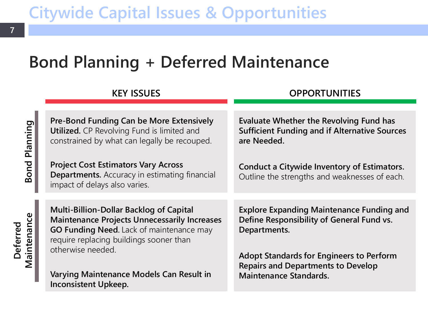### **Bond Planning + Deferred Maintenance**

#### **KEY ISSUES OPPORTUNITIES**

**Deferred** 

Maintenance Deferred

**Pre-Bond Funding Can be More Extensively Utilized.** CP Revolving Fund is limited and constrained by what can legally be recouped. **Project Cost Estimators Vary Across Departments.** Accuracy in estimating financial impact of delays also varies. **Evaluate Whether the Revolving Fund has Sufficient Funding and if Alternative Sources are Needed. Conduct a Citywide Inventory of Estimators.**  Outline the strengths and weaknesses of each. **Multi-Billion-Dollar Backlog of Capital Explore Expanding Maintenance Funding and Define Responsibility of General Fund vs. Departments.**

**Maintenance Projects Unnecessarily Increases GO Funding Need.** Lack of maintenance may require replacing buildings sooner than otherwise needed.

**Varying Maintenance Models Can Result in Inconsistent Upkeep.**

**Adopt Standards for Engineers to Perform Repairs and Departments to Develop Maintenance Standards.**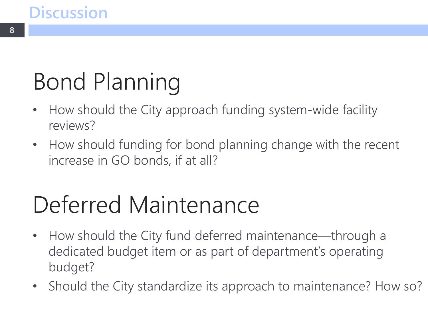### **Discussion**

# Bond Planning

- How should the City approach funding system-wide facility reviews?
- How should funding for bond planning change with the recent increase in GO bonds, if at all?

## Deferred Maintenance

- How should the City fund deferred maintenance—through a dedicated budget item or as part of department's operating budget?
- Should the City standardize its approach to maintenance? How so?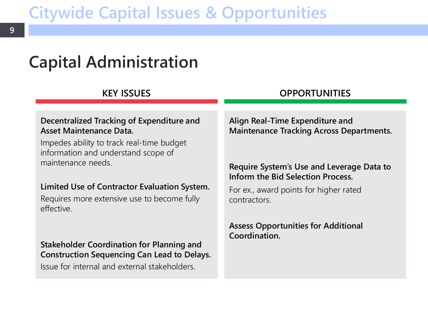### **Citywide Capital Issues & Opportunities**

### **Capital Administration**

#### **Decentralized Tracking of Expenditure and Asset Maintenance Data.**

Impedes ability to track real-time budget information and understand scope of maintenance needs.

#### **Limited Use of Contractor Evaluation System.**

Requires more extensive use to become fully effective.

**Stakeholder Coordination for Planning and Construction Sequencing Can Lead to Delays.**

Issue for internal and external stakeholders.

#### **KEY ISSUES OPPORTUNITIES**

**Align Real-Time Expenditure and Maintenance Tracking Across Departments.**

#### **Require System's Use and Leverage Data to Inform the Bid Selection Process.**

For ex., award points for higher rated contractors.

**Assess Opportunities for Additional Coordination.**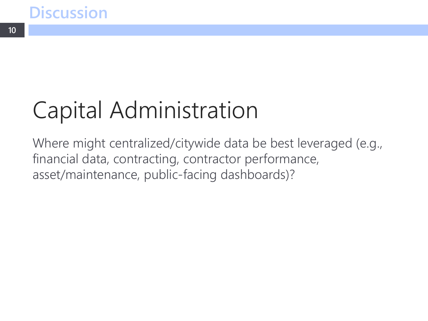**10**

## Capital Administration

Where might centralized/citywide data be best leveraged (e.g., financial data, contracting, contractor performance, asset/maintenance, public-facing dashboards)?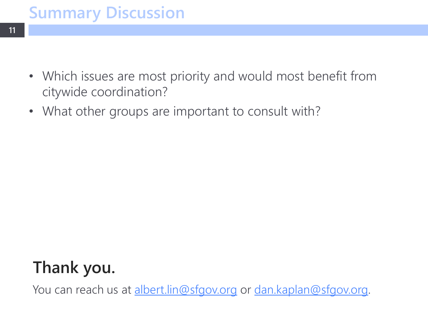- Which issues are most priority and would most benefit from citywide coordination?
- What other groups are important to consult with?

### **Thank you.**

You can reach us at [albert.lin@sfgov.org](mailto:albert.lin@sfgov.org) or [dan.kaplan@sfgov.org.](mailto:dan.kaplan@sfgov.org)